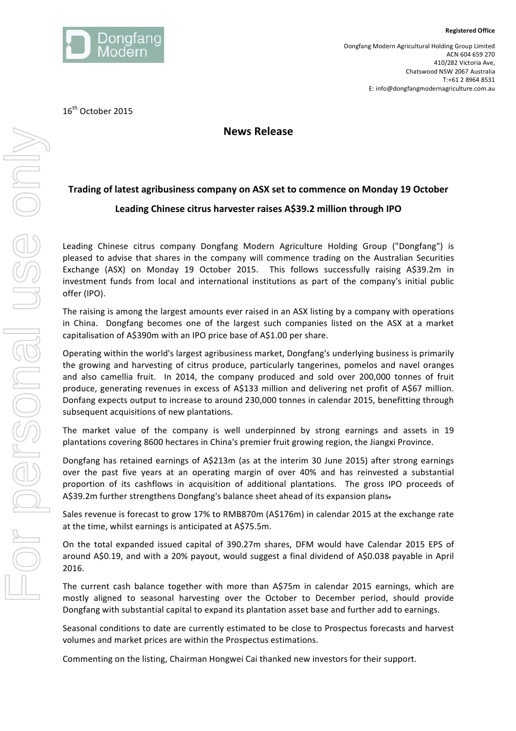

**Registered Office**

16<sup>th</sup> October 2015

## **News Release**

## **Trading of latest agribusiness company on ASX set to commence on Monday 19 October** Leading Chinese citrus harvester raises A\$39.2 million through IPO

Leading Chinese citrus company Dongfang Modern Agriculture Holding Group ("Dongfang") is pleased to advise that shares in the company will commence trading on the Australian Securities Exchange (ASX) on Monday 19 October 2015. This follows successfully raising A\$39.2m in investment funds from local and international institutions as part of the company's initial public offer (IPO).

The raising is among the largest amounts ever raised in an ASX listing by a company with operations in China. Dongfang becomes one of the largest such companies listed on the ASX at a market capitalisation of A\$390m with an IPO price base of A\$1.00 per share.

Operating within the world's largest agribusiness market, Dongfang's underlying business is primarily the growing and harvesting of citrus produce, particularly tangerines, pomelos and navel oranges and also camellia fruit. In 2014, the company produced and sold over 200,000 tonnes of fruit produce, generating revenues in excess of A\$133 million and delivering net profit of A\$67 million. Donfang expects output to increase to around 230,000 tonnes in calendar 2015, benefitting through subsequent acquisitions of new plantations.

The market value of the company is well underpinned by strong earnings and assets in 19 plantations covering 8600 hectares in China's premier fruit growing region, the Jiangxi Province.

Dongfang has retained earnings of A\$213m (as at the interim 30 June 2015) after strong earnings over the past five years at an operating margin of over 40% and has reinvested a substantial proportion of its cashflows in acquisition of additional plantations. The gross IPO proceeds of A\$39.2m further strengthens Dongfang's balance sheet ahead of its expansion plans-

Sales revenue is forecast to grow 17% to RMB870m (A\$176m) in calendar 2015 at the exchange rate at the time, whilst earnings is anticipated at A\$75.5m.

On the total expanded issued capital of 390.27m shares, DFM would have Calendar 2015 EPS of around A\$0.19, and with a 20% payout, would suggest a final dividend of A\$0.038 payable in April 2016. 

The current cash balance together with more than  $A\$ 75m in calendar 2015 earnings, which are mostly aligned to seasonal harvesting over the October to December period, should provide Dongfang with substantial capital to expand its plantation asset base and further add to earnings.

Seasonal conditions to date are currently estimated to be close to Prospectus forecasts and harvest volumes and market prices are within the Prospectus estimations.

Commenting on the listing, Chairman Hongwei Cai thanked new investors for their support.